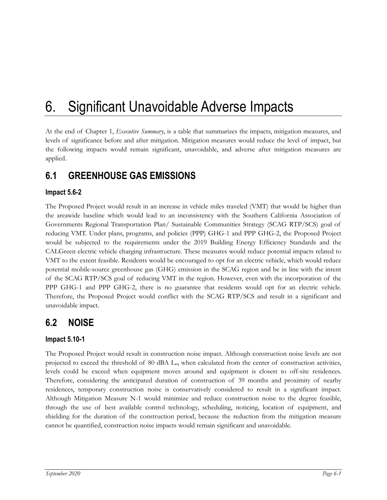# 6. Significant Unavoidable Adverse Impacts

At the end of Chapter 1, *Executive Summary*, is a table that summarizes the impacts, mitigation measures, and levels of significance before and after mitigation. Mitigation measures would reduce the level of impact, but the following impacts would remain significant, unavoidable, and adverse after mitigation measures are applied.

## **6.1 GREENHOUSE GAS EMISSIONS**

#### **Impact 5.6-2**

The Proposed Project would result in an increase in vehicle miles traveled (VMT) that would be higher than the areawide baseline which would lead to an inconsistency with the Southern California Association of Governments Regional Transportation Plan/ Sustainable Communities Strategy (SCAG RTP/SCS) goal of reducing VMT. Under plans, programs, and policies (PPP) GHG-1 and PPP GHG-2, the Proposed Project would be subjected to the requirements under the 2019 Building Energy Efficiency Standards and the CALGreen electric vehicle charging infrastructure. These measures would reduce potential impacts related to VMT to the extent feasible. Residents would be encouraged to opt for an electric vehicle, which would reduce potential mobile-source greenhouse gas (GHG) emission in the SCAG region and be in line with the intent of the SCAG RTP/SCS goal of reducing VMT in the region. However, even with the incorporation of the PPP GHG-1 and PPP GHG-2, there is no guarantee that residents would opt for an electric vehicle. Therefore, the Proposed Project would conflict with the SCAG RTP/SCS and result in a significant and unavoidable impact.

### **6.2 NOISE**

#### **Impact 5.10-1**

The Proposed Project would result in construction noise impact. Although construction noise levels are not projected to exceed the threshold of 80 dBA  $L_{eq}$  when calculated from the center of construction activities, levels could be exceed when equipment moves around and equipment is closest to off-site residences. Therefore, considering the anticipated duration of construction of 39 months and proximity of nearby residences, temporary construction noise is conservatively considered to result in a significant impact. Although Mitigation Measure N-1 would minimize and reduce construction noise to the degree feasible, through the use of best available control technology, scheduling, noticing, location of equipment, and shielding for the duration of the construction period, because the reduction from the mitigation measure cannot be quantified, construction noise impacts would remain significant and unavoidable.